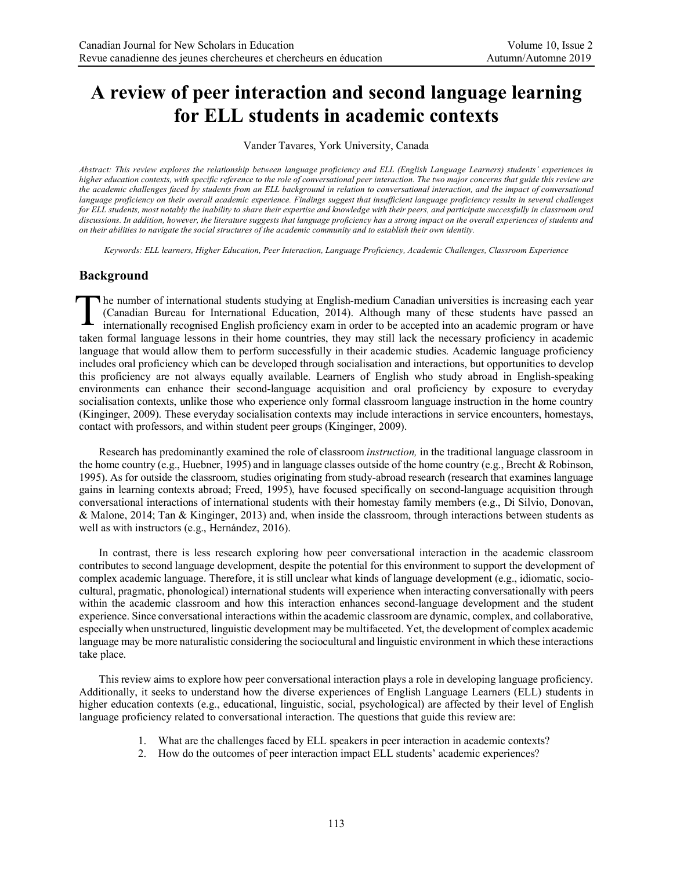# **A review of peer interaction and second language learning for ELL students in academic contexts**

Vander Tavares, York University, Canada

*Abstract: This review explores the relationship between language proficiency and ELL (English Language Learners) students' experiences in higher education contexts, with specific reference to the role of conversational peer interaction. The two major concerns that guide this review are the academic challenges faced by students from an ELL background in relation to conversational interaction, and the impact of conversational language proficiency on their overall academic experience. Findings suggest that insufficient language proficiency results in several challenges*  for ELL students, most notably the inability to share their expertise and knowledge with their peers, and participate successfully in classroom oral *discussions. In addition, however, the literature suggests that language proficiency has a strong impact on the overall experiences of students and on their abilities to navigate the social structures of the academic community and to establish their own identity.*

*Keywords: ELL learners, Higher Education, Peer Interaction, Language Proficiency, Academic Challenges, Classroom Experience*

# **Background**

**T** he number of international students studying at English-medium Canadian universities is increasing each year (Canadian Bureau for International Education, 2014). Although many of these students have passed an internationally recognised English proficiency exam in order to be accepted into an academic program or have taken formal language lessons in their home countries, they may still lack the necessary proficiency in academic language that would allow them to perform successfully in their academic studies. Academic language proficiency includes oral proficiency which can be developed through socialisation and interactions, but opportunities to develop this proficiency are not always equally available. Learners of English who study abroad in English-speaking environments can enhance their second-language acquisition and oral proficiency by exposure to everyday socialisation contexts, unlike those who experience only formal classroom language instruction in the home country (Kinginger, 2009). These everyday socialisation contexts may include interactions in service encounters, homestays, contact with professors, and within student peer groups (Kinginger, 2009). T

Research has predominantly examined the role of classroom *instruction,* in the traditional language classroom in the home country (e.g., Huebner, 1995) and in language classes outside of the home country (e.g., Brecht & Robinson, 1995). As for outside the classroom, studies originating from study-abroad research (research that examines language gains in learning contexts abroad; Freed, 1995), have focused specifically on second-language acquisition through conversational interactions of international students with their homestay family members (e.g., Di Silvio, Donovan, & Malone, 2014; Tan & Kinginger, 2013) and, when inside the classroom, through interactions between students as well as with instructors (e.g., Hernández, 2016).

In contrast, there is less research exploring how peer conversational interaction in the academic classroom contributes to second language development, despite the potential for this environment to support the development of complex academic language. Therefore, it is still unclear what kinds of language development (e.g., idiomatic, sociocultural, pragmatic, phonological) international students will experience when interacting conversationally with peers within the academic classroom and how this interaction enhances second-language development and the student experience. Since conversational interactions within the academic classroom are dynamic, complex, and collaborative, especially when unstructured, linguistic development may be multifaceted. Yet, the development of complex academic language may be more naturalistic considering the sociocultural and linguistic environment in which these interactions take place.

This review aims to explore how peer conversational interaction plays a role in developing language proficiency. Additionally, it seeks to understand how the diverse experiences of English Language Learners (ELL) students in higher education contexts (e.g., educational, linguistic, social, psychological) are affected by their level of English language proficiency related to conversational interaction. The questions that guide this review are:

- 1. What are the challenges faced by ELL speakers in peer interaction in academic contexts?
- 2. How do the outcomes of peer interaction impact ELL students' academic experiences?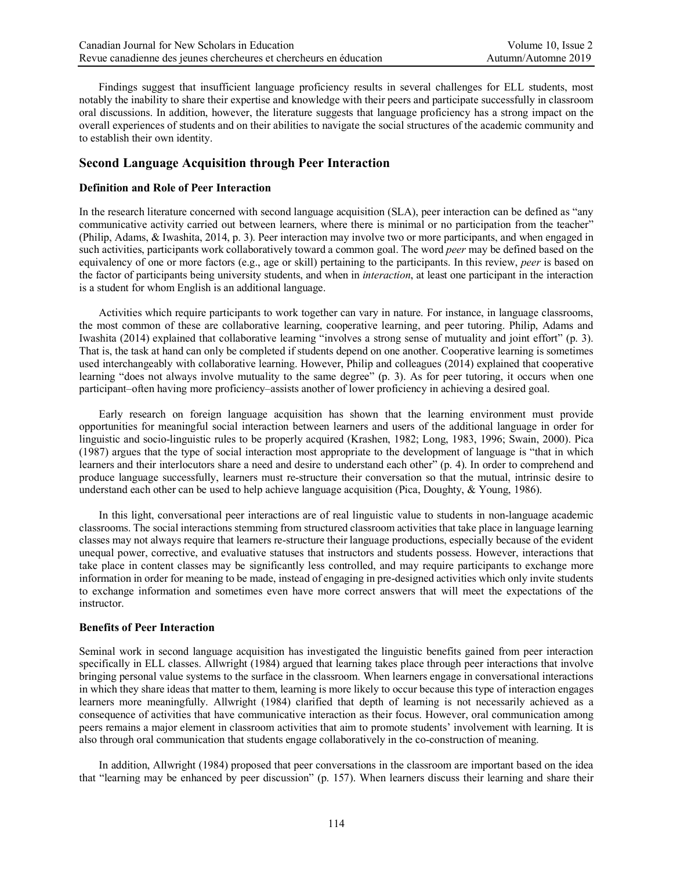Findings suggest that insufficient language proficiency results in several challenges for ELL students, most notably the inability to share their expertise and knowledge with their peers and participate successfully in classroom oral discussions. In addition, however, the literature suggests that language proficiency has a strong impact on the overall experiences of students and on their abilities to navigate the social structures of the academic community and to establish their own identity.

#### **Second Language Acquisition through Peer Interaction**

#### **Definition and Role of Peer Interaction**

In the research literature concerned with second language acquisition (SLA), peer interaction can be defined as "any communicative activity carried out between learners, where there is minimal or no participation from the teacher" (Philip, Adams, & Iwashita, 2014, p. 3). Peer interaction may involve two or more participants, and when engaged in such activities, participants work collaboratively toward a common goal. The word *peer* may be defined based on the equivalency of one or more factors (e.g., age or skill) pertaining to the participants. In this review, *peer* is based on the factor of participants being university students, and when in *interaction*, at least one participant in the interaction is a student for whom English is an additional language.

Activities which require participants to work together can vary in nature. For instance, in language classrooms, the most common of these are collaborative learning, cooperative learning, and peer tutoring. Philip, Adams and Iwashita (2014) explained that collaborative learning "involves a strong sense of mutuality and joint effort" (p. 3). That is, the task at hand can only be completed if students depend on one another. Cooperative learning is sometimes used interchangeably with collaborative learning. However, Philip and colleagues (2014) explained that cooperative learning "does not always involve mutuality to the same degree" (p. 3). As for peer tutoring, it occurs when one participant–often having more proficiency–assists another of lower proficiency in achieving a desired goal.

Early research on foreign language acquisition has shown that the learning environment must provide opportunities for meaningful social interaction between learners and users of the additional language in order for linguistic and socio-linguistic rules to be properly acquired (Krashen, 1982; Long, 1983, 1996; Swain, 2000). Pica (1987) argues that the type of social interaction most appropriate to the development of language is "that in which learners and their interlocutors share a need and desire to understand each other" (p. 4). In order to comprehend and produce language successfully, learners must re-structure their conversation so that the mutual, intrinsic desire to understand each other can be used to help achieve language acquisition (Pica, Doughty, & Young, 1986).

In this light, conversational peer interactions are of real linguistic value to students in non-language academic classrooms. The social interactions stemming from structured classroom activities that take place in language learning classes may not always require that learners re-structure their language productions, especially because of the evident unequal power, corrective, and evaluative statuses that instructors and students possess. However, interactions that take place in content classes may be significantly less controlled, and may require participants to exchange more information in order for meaning to be made, instead of engaging in pre-designed activities which only invite students to exchange information and sometimes even have more correct answers that will meet the expectations of the instructor.

#### **Benefits of Peer Interaction**

Seminal work in second language acquisition has investigated the linguistic benefits gained from peer interaction specifically in ELL classes. Allwright (1984) argued that learning takes place through peer interactions that involve bringing personal value systems to the surface in the classroom. When learners engage in conversational interactions in which they share ideas that matter to them, learning is more likely to occur because this type of interaction engages learners more meaningfully. Allwright (1984) clarified that depth of learning is not necessarily achieved as a consequence of activities that have communicative interaction as their focus. However, oral communication among peers remains a major element in classroom activities that aim to promote students' involvement with learning. It is also through oral communication that students engage collaboratively in the co-construction of meaning.

In addition, Allwright (1984) proposed that peer conversations in the classroom are important based on the idea that "learning may be enhanced by peer discussion" (p. 157). When learners discuss their learning and share their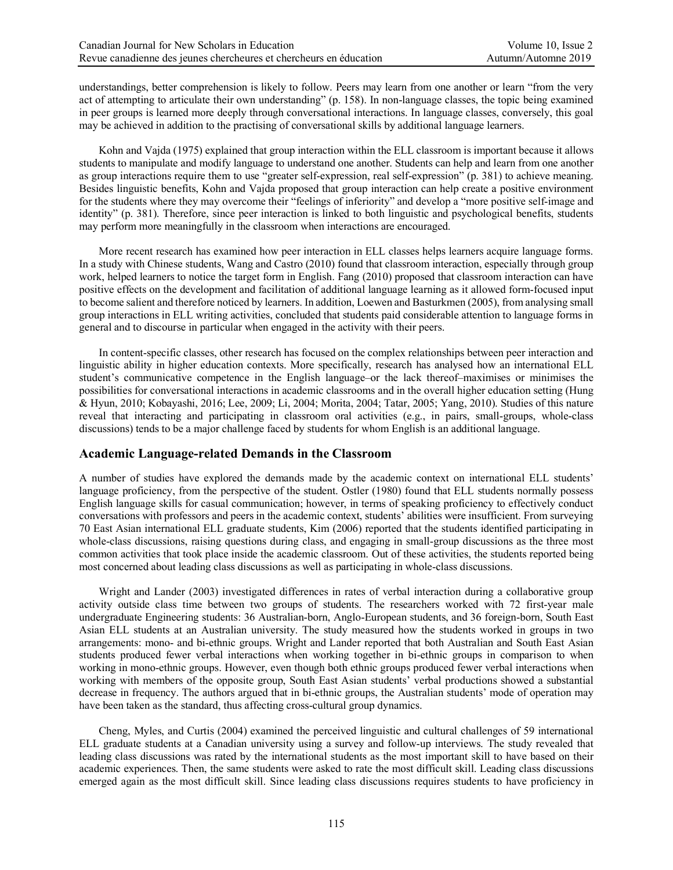understandings, better comprehension is likely to follow. Peers may learn from one another or learn "from the very act of attempting to articulate their own understanding" (p. 158). In non-language classes, the topic being examined in peer groups is learned more deeply through conversational interactions. In language classes, conversely, this goal may be achieved in addition to the practising of conversational skills by additional language learners.

Kohn and Vajda (1975) explained that group interaction within the ELL classroom is important because it allows students to manipulate and modify language to understand one another. Students can help and learn from one another as group interactions require them to use "greater self-expression, real self-expression" (p. 381) to achieve meaning. Besides linguistic benefits, Kohn and Vajda proposed that group interaction can help create a positive environment for the students where they may overcome their "feelings of inferiority" and develop a "more positive self-image and identity" (p. 381). Therefore, since peer interaction is linked to both linguistic and psychological benefits, students may perform more meaningfully in the classroom when interactions are encouraged.

More recent research has examined how peer interaction in ELL classes helps learners acquire language forms. In a study with Chinese students, Wang and Castro (2010) found that classroom interaction, especially through group work, helped learners to notice the target form in English. Fang (2010) proposed that classroom interaction can have positive effects on the development and facilitation of additional language learning as it allowed form-focused input to become salient and therefore noticed by learners. In addition, Loewen and Basturkmen (2005), from analysing small group interactions in ELL writing activities, concluded that students paid considerable attention to language forms in general and to discourse in particular when engaged in the activity with their peers.

In content-specific classes, other research has focused on the complex relationships between peer interaction and linguistic ability in higher education contexts. More specifically, research has analysed how an international ELL student's communicative competence in the English language–or the lack thereof–maximises or minimises the possibilities for conversational interactions in academic classrooms and in the overall higher education setting (Hung & Hyun, 2010; Kobayashi, 2016; Lee, 2009; Li, 2004; Morita, 2004; Tatar, 2005; Yang, 2010). Studies of this nature reveal that interacting and participating in classroom oral activities (e.g., in pairs, small-groups, whole-class discussions) tends to be a major challenge faced by students for whom English is an additional language.

## **Academic Language-related Demands in the Classroom**

A number of studies have explored the demands made by the academic context on international ELL students' language proficiency, from the perspective of the student. Ostler (1980) found that ELL students normally possess English language skills for casual communication; however, in terms of speaking proficiency to effectively conduct conversations with professors and peers in the academic context, students' abilities were insufficient. From surveying 70 East Asian international ELL graduate students, Kim (2006) reported that the students identified participating in whole-class discussions, raising questions during class, and engaging in small-group discussions as the three most common activities that took place inside the academic classroom. Out of these activities, the students reported being most concerned about leading class discussions as well as participating in whole-class discussions.

Wright and Lander (2003) investigated differences in rates of verbal interaction during a collaborative group activity outside class time between two groups of students. The researchers worked with 72 first-year male undergraduate Engineering students: 36 Australian-born, Anglo-European students, and 36 foreign-born, South East Asian ELL students at an Australian university. The study measured how the students worked in groups in two arrangements: mono- and bi-ethnic groups. Wright and Lander reported that both Australian and South East Asian students produced fewer verbal interactions when working together in bi-ethnic groups in comparison to when working in mono-ethnic groups. However, even though both ethnic groups produced fewer verbal interactions when working with members of the opposite group, South East Asian students' verbal productions showed a substantial decrease in frequency. The authors argued that in bi-ethnic groups, the Australian students' mode of operation may have been taken as the standard, thus affecting cross-cultural group dynamics.

Cheng, Myles, and Curtis (2004) examined the perceived linguistic and cultural challenges of 59 international ELL graduate students at a Canadian university using a survey and follow-up interviews. The study revealed that leading class discussions was rated by the international students as the most important skill to have based on their academic experiences. Then, the same students were asked to rate the most difficult skill. Leading class discussions emerged again as the most difficult skill. Since leading class discussions requires students to have proficiency in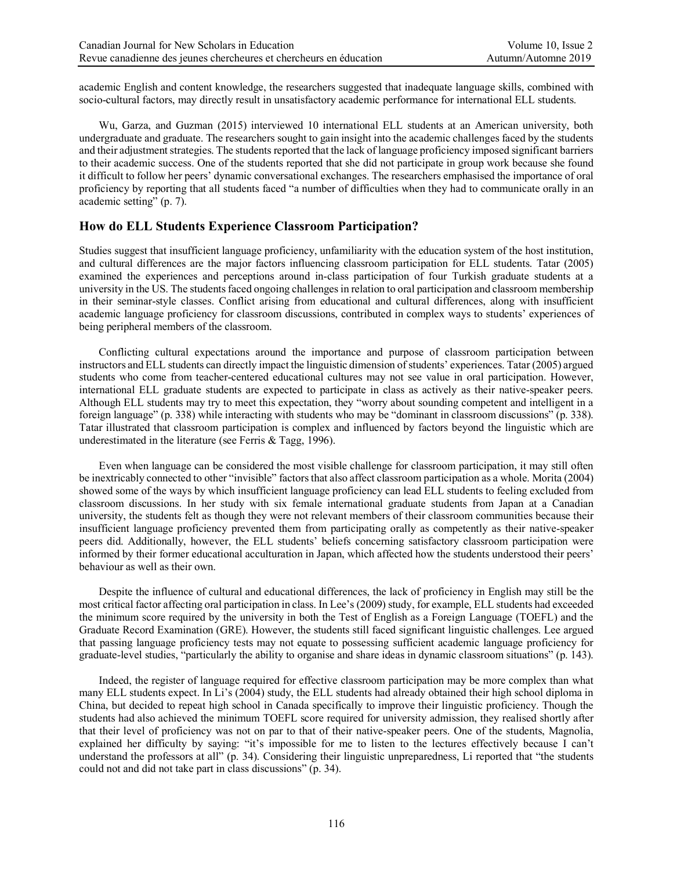academic English and content knowledge, the researchers suggested that inadequate language skills, combined with socio-cultural factors, may directly result in unsatisfactory academic performance for international ELL students.

Wu, Garza, and Guzman (2015) interviewed 10 international ELL students at an American university, both undergraduate and graduate. The researchers sought to gain insight into the academic challenges faced by the students and their adjustment strategies. The students reported that the lack of language proficiency imposed significant barriers to their academic success. One of the students reported that she did not participate in group work because she found it difficult to follow her peers' dynamic conversational exchanges. The researchers emphasised the importance of oral proficiency by reporting that all students faced "a number of difficulties when they had to communicate orally in an academic setting" (p. 7).

# **How do ELL Students Experience Classroom Participation?**

Studies suggest that insufficient language proficiency, unfamiliarity with the education system of the host institution, and cultural differences are the major factors influencing classroom participation for ELL students. Tatar (2005) examined the experiences and perceptions around in-class participation of four Turkish graduate students at a university in the US. The students faced ongoing challenges in relation to oral participation and classroom membership in their seminar-style classes. Conflict arising from educational and cultural differences, along with insufficient academic language proficiency for classroom discussions, contributed in complex ways to students' experiences of being peripheral members of the classroom.

Conflicting cultural expectations around the importance and purpose of classroom participation between instructors and ELL students can directly impact the linguistic dimension of students' experiences. Tatar (2005) argued students who come from teacher-centered educational cultures may not see value in oral participation. However, international ELL graduate students are expected to participate in class as actively as their native-speaker peers. Although ELL students may try to meet this expectation, they "worry about sounding competent and intelligent in a foreign language" (p. 338) while interacting with students who may be "dominant in classroom discussions" (p. 338). Tatar illustrated that classroom participation is complex and influenced by factors beyond the linguistic which are underestimated in the literature (see Ferris & Tagg, 1996).

Even when language can be considered the most visible challenge for classroom participation, it may still often be inextricably connected to other "invisible" factors that also affect classroom participation as a whole. Morita (2004) showed some of the ways by which insufficient language proficiency can lead ELL students to feeling excluded from classroom discussions. In her study with six female international graduate students from Japan at a Canadian university, the students felt as though they were not relevant members of their classroom communities because their insufficient language proficiency prevented them from participating orally as competently as their native-speaker peers did. Additionally, however, the ELL students' beliefs concerning satisfactory classroom participation were informed by their former educational acculturation in Japan, which affected how the students understood their peers' behaviour as well as their own.

Despite the influence of cultural and educational differences, the lack of proficiency in English may still be the most critical factor affecting oral participation in class. In Lee's (2009) study, for example, ELL students had exceeded the minimum score required by the university in both the Test of English as a Foreign Language (TOEFL) and the Graduate Record Examination (GRE). However, the students still faced significant linguistic challenges. Lee argued that passing language proficiency tests may not equate to possessing sufficient academic language proficiency for graduate-level studies, "particularly the ability to organise and share ideas in dynamic classroom situations" (p. 143).

Indeed, the register of language required for effective classroom participation may be more complex than what many ELL students expect. In Li's (2004) study, the ELL students had already obtained their high school diploma in China, but decided to repeat high school in Canada specifically to improve their linguistic proficiency. Though the students had also achieved the minimum TOEFL score required for university admission, they realised shortly after that their level of proficiency was not on par to that of their native-speaker peers. One of the students, Magnolia, explained her difficulty by saying: "it's impossible for me to listen to the lectures effectively because I can't understand the professors at all" (p. 34). Considering their linguistic unpreparedness, Li reported that "the students could not and did not take part in class discussions" (p. 34).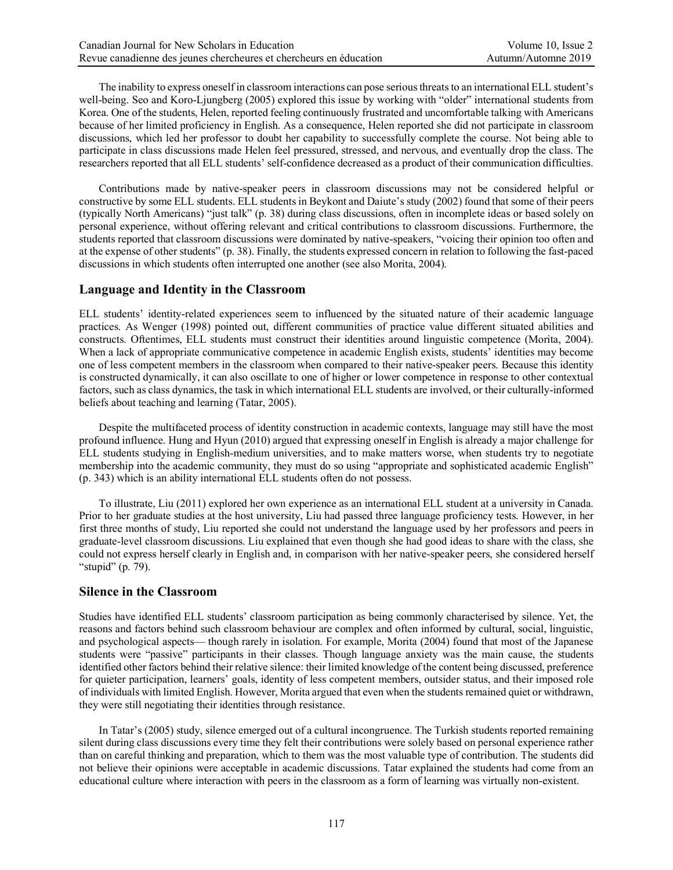The inability to express oneself in classroom interactions can pose serious threats to an international ELL student's well-being. Seo and Koro-Ljungberg (2005) explored this issue by working with "older" international students from Korea. One of the students, Helen, reported feeling continuously frustrated and uncomfortable talking with Americans because of her limited proficiency in English. As a consequence, Helen reported she did not participate in classroom discussions, which led her professor to doubt her capability to successfully complete the course. Not being able to participate in class discussions made Helen feel pressured, stressed, and nervous, and eventually drop the class. The researchers reported that all ELL students' self-confidence decreased as a product of their communication difficulties.

Contributions made by native-speaker peers in classroom discussions may not be considered helpful or constructive by some ELL students. ELL students in Beykont and Daiute's study (2002) found that some of their peers (typically North Americans) "just talk" (p. 38) during class discussions, often in incomplete ideas or based solely on personal experience, without offering relevant and critical contributions to classroom discussions. Furthermore, the students reported that classroom discussions were dominated by native-speakers, "voicing their opinion too often and at the expense of other students" (p. 38). Finally, the students expressed concern in relation to following the fast-paced discussions in which students often interrupted one another (see also Morita, 2004).

#### **Language and Identity in the Classroom**

ELL students' identity-related experiences seem to influenced by the situated nature of their academic language practices. As Wenger (1998) pointed out, different communities of practice value different situated abilities and constructs. Oftentimes, ELL students must construct their identities around linguistic competence (Morita, 2004). When a lack of appropriate communicative competence in academic English exists, students' identities may become one of less competent members in the classroom when compared to their native-speaker peers. Because this identity is constructed dynamically, it can also oscillate to one of higher or lower competence in response to other contextual factors, such as class dynamics, the task in which international ELL students are involved, or their culturally-informed beliefs about teaching and learning (Tatar, 2005).

Despite the multifaceted process of identity construction in academic contexts, language may still have the most profound influence. Hung and Hyun (2010) argued that expressing oneself in English is already a major challenge for ELL students studying in English-medium universities, and to make matters worse, when students try to negotiate membership into the academic community, they must do so using "appropriate and sophisticated academic English" (p. 343) which is an ability international ELL students often do not possess.

To illustrate, Liu (2011) explored her own experience as an international ELL student at a university in Canada. Prior to her graduate studies at the host university, Liu had passed three language proficiency tests. However, in her first three months of study, Liu reported she could not understand the language used by her professors and peers in graduate-level classroom discussions. Liu explained that even though she had good ideas to share with the class, she could not express herself clearly in English and, in comparison with her native-speaker peers, she considered herself "stupid" (p. 79).

## **Silence in the Classroom**

Studies have identified ELL students' classroom participation as being commonly characterised by silence. Yet, the reasons and factors behind such classroom behaviour are complex and often informed by cultural, social, linguistic, and psychological aspects— though rarely in isolation. For example, Morita (2004) found that most of the Japanese students were "passive" participants in their classes. Though language anxiety was the main cause, the students identified other factors behind their relative silence: their limited knowledge of the content being discussed, preference for quieter participation, learners' goals, identity of less competent members, outsider status, and their imposed role of individuals with limited English. However, Morita argued that even when the students remained quiet or withdrawn, they were still negotiating their identities through resistance.

In Tatar's (2005) study, silence emerged out of a cultural incongruence. The Turkish students reported remaining silent during class discussions every time they felt their contributions were solely based on personal experience rather than on careful thinking and preparation, which to them was the most valuable type of contribution. The students did not believe their opinions were acceptable in academic discussions. Tatar explained the students had come from an educational culture where interaction with peers in the classroom as a form of learning was virtually non-existent.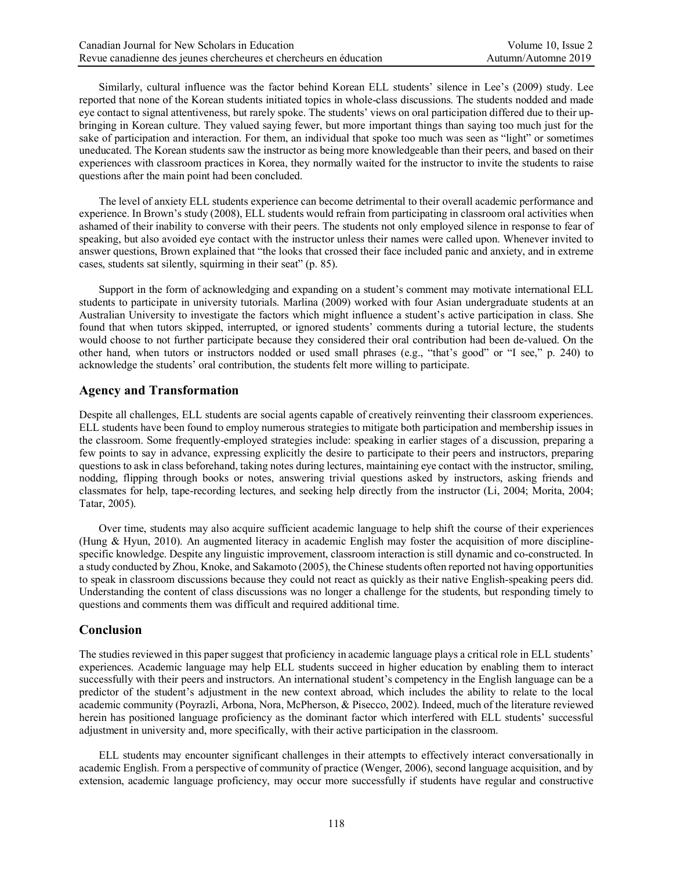Similarly, cultural influence was the factor behind Korean ELL students' silence in Lee's (2009) study. Lee reported that none of the Korean students initiated topics in whole-class discussions. The students nodded and made eye contact to signal attentiveness, but rarely spoke. The students' views on oral participation differed due to their upbringing in Korean culture. They valued saying fewer, but more important things than saying too much just for the sake of participation and interaction. For them, an individual that spoke too much was seen as "light" or sometimes uneducated. The Korean students saw the instructor as being more knowledgeable than their peers, and based on their experiences with classroom practices in Korea, they normally waited for the instructor to invite the students to raise questions after the main point had been concluded.

The level of anxiety ELL students experience can become detrimental to their overall academic performance and experience. In Brown's study (2008), ELL students would refrain from participating in classroom oral activities when ashamed of their inability to converse with their peers. The students not only employed silence in response to fear of speaking, but also avoided eye contact with the instructor unless their names were called upon. Whenever invited to answer questions, Brown explained that "the looks that crossed their face included panic and anxiety, and in extreme cases, students sat silently, squirming in their seat" (p. 85).

Support in the form of acknowledging and expanding on a student's comment may motivate international ELL students to participate in university tutorials. Marlina (2009) worked with four Asian undergraduate students at an Australian University to investigate the factors which might influence a student's active participation in class. She found that when tutors skipped, interrupted, or ignored students' comments during a tutorial lecture, the students would choose to not further participate because they considered their oral contribution had been de-valued. On the other hand, when tutors or instructors nodded or used small phrases (e.g., "that's good" or "I see," p. 240) to acknowledge the students' oral contribution, the students felt more willing to participate.

## **Agency and Transformation**

Despite all challenges, ELL students are social agents capable of creatively reinventing their classroom experiences. ELL students have been found to employ numerous strategies to mitigate both participation and membership issues in the classroom. Some frequently-employed strategies include: speaking in earlier stages of a discussion, preparing a few points to say in advance, expressing explicitly the desire to participate to their peers and instructors, preparing questions to ask in class beforehand, taking notes during lectures, maintaining eye contact with the instructor, smiling, nodding, flipping through books or notes, answering trivial questions asked by instructors, asking friends and classmates for help, tape-recording lectures, and seeking help directly from the instructor (Li, 2004; Morita, 2004; Tatar, 2005).

Over time, students may also acquire sufficient academic language to help shift the course of their experiences (Hung & Hyun, 2010). An augmented literacy in academic English may foster the acquisition of more disciplinespecific knowledge. Despite any linguistic improvement, classroom interaction is still dynamic and co-constructed. In a study conducted by Zhou, Knoke, and Sakamoto (2005), the Chinese students often reported not having opportunities to speak in classroom discussions because they could not react as quickly as their native English-speaking peers did. Understanding the content of class discussions was no longer a challenge for the students, but responding timely to questions and comments them was difficult and required additional time.

## **Conclusion**

The studies reviewed in this paper suggest that proficiency in academic language plays a critical role in ELL students' experiences. Academic language may help ELL students succeed in higher education by enabling them to interact successfully with their peers and instructors. An international student's competency in the English language can be a predictor of the student's adjustment in the new context abroad, which includes the ability to relate to the local academic community (Poyrazli, Arbona, Nora, McPherson, & Pisecco, 2002). Indeed, much of the literature reviewed herein has positioned language proficiency as the dominant factor which interfered with ELL students' successful adjustment in university and, more specifically, with their active participation in the classroom.

ELL students may encounter significant challenges in their attempts to effectively interact conversationally in academic English. From a perspective of community of practice (Wenger, 2006), second language acquisition, and by extension, academic language proficiency, may occur more successfully if students have regular and constructive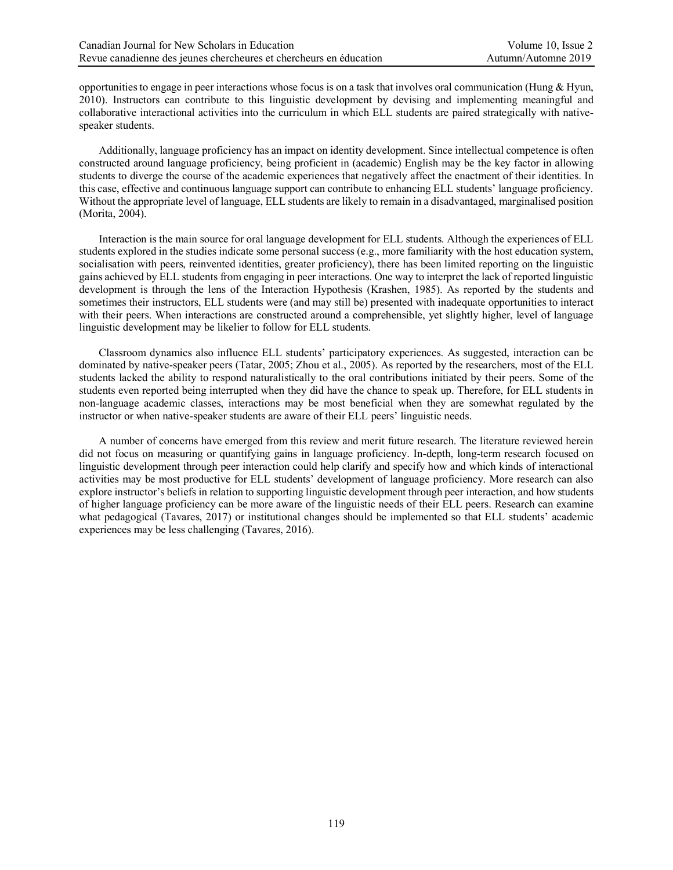opportunities to engage in peer interactions whose focus is on a task that involves oral communication (Hung & Hyun, 2010). Instructors can contribute to this linguistic development by devising and implementing meaningful and collaborative interactional activities into the curriculum in which ELL students are paired strategically with nativespeaker students.

Additionally, language proficiency has an impact on identity development. Since intellectual competence is often constructed around language proficiency, being proficient in (academic) English may be the key factor in allowing students to diverge the course of the academic experiences that negatively affect the enactment of their identities. In this case, effective and continuous language support can contribute to enhancing ELL students' language proficiency. Without the appropriate level of language, ELL students are likely to remain in a disadvantaged, marginalised position (Morita, 2004).

Interaction is the main source for oral language development for ELL students. Although the experiences of ELL students explored in the studies indicate some personal success (e.g., more familiarity with the host education system, socialisation with peers, reinvented identities, greater proficiency), there has been limited reporting on the linguistic gains achieved by ELL students from engaging in peer interactions. One way to interpret the lack of reported linguistic development is through the lens of the Interaction Hypothesis (Krashen, 1985). As reported by the students and sometimes their instructors, ELL students were (and may still be) presented with inadequate opportunities to interact with their peers. When interactions are constructed around a comprehensible, yet slightly higher, level of language linguistic development may be likelier to follow for ELL students.

Classroom dynamics also influence ELL students' participatory experiences. As suggested, interaction can be dominated by native-speaker peers (Tatar, 2005; Zhou et al., 2005). As reported by the researchers, most of the ELL students lacked the ability to respond naturalistically to the oral contributions initiated by their peers. Some of the students even reported being interrupted when they did have the chance to speak up. Therefore, for ELL students in non-language academic classes, interactions may be most beneficial when they are somewhat regulated by the instructor or when native-speaker students are aware of their ELL peers' linguistic needs.

A number of concerns have emerged from this review and merit future research. The literature reviewed herein did not focus on measuring or quantifying gains in language proficiency. In-depth, long-term research focused on linguistic development through peer interaction could help clarify and specify how and which kinds of interactional activities may be most productive for ELL students' development of language proficiency. More research can also explore instructor's beliefs in relation to supporting linguistic development through peer interaction, and how students of higher language proficiency can be more aware of the linguistic needs of their ELL peers. Research can examine what pedagogical (Tavares, 2017) or institutional changes should be implemented so that ELL students' academic experiences may be less challenging (Tavares, 2016).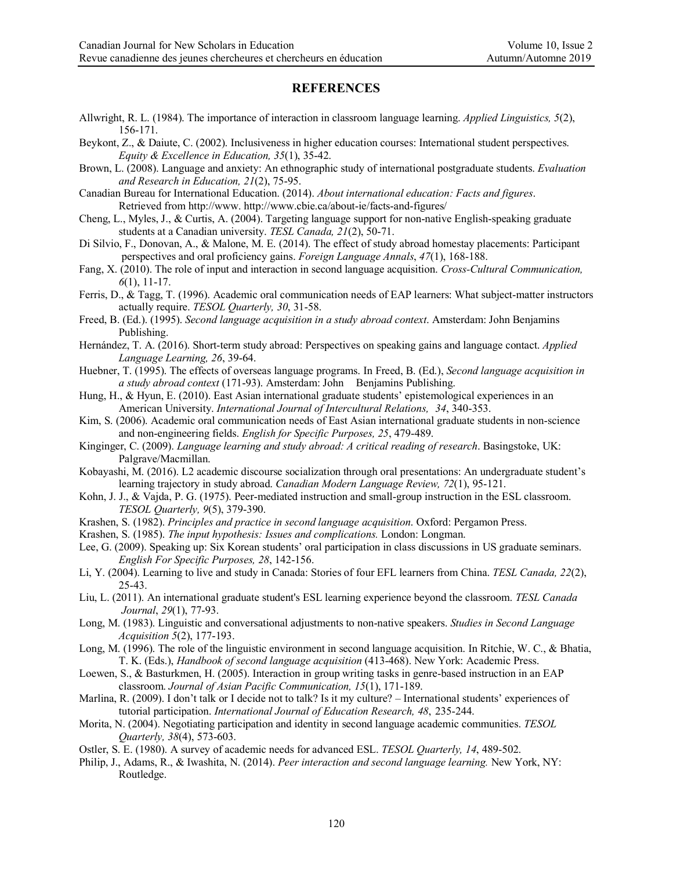## **REFERENCES**

- Allwright, R. L. (1984). The importance of interaction in classroom language learning. *Applied Linguistics, 5*(2), 156-171.
- Beykont, Z., & Daiute, C. (2002). Inclusiveness in higher education courses: International student perspectives. *Equity & Excellence in Education, 35*(1), 35-42.
- Brown, L. (2008). Language and anxiety: An ethnographic study of international postgraduate students. *Evaluation and Research in Education, 21*(2), 75-95.
- Canadian Bureau for International Education. (2014). *About international education: Facts and figures*. Retrieved from http://www. http://www.cbie.ca/about-ie/facts-and-figures/
- Cheng, L., Myles, J., & Curtis, A. (2004). Targeting language support for non-native English-speaking graduate students at a Canadian university. *TESL Canada, 21*(2), 50-71.
- Di Silvio, F., Donovan, A., & Malone, M. E. (2014). The effect of study abroad homestay placements: Participant perspectives and oral proficiency gains. *Foreign Language Annals*, *47*(1), 168-188.
- Fang, X. (2010). The role of input and interaction in second language acquisition. *Cross-Cultural Communication, 6*(1), 11-17.
- Ferris, D., & Tagg, T. (1996). Academic oral communication needs of EAP learners: What subject-matter instructors actually require. *TESOL Quarterly, 30*, 31-58.
- Freed, B. (Ed.). (1995). *Second language acquisition in a study abroad context*. Amsterdam: John Benjamins Publishing.
- Hernández, T. A. (2016). Short-term study abroad: Perspectives on speaking gains and language contact. *Applied Language Learning, 26*, 39-64.
- Huebner, T. (1995). The effects of overseas language programs. In Freed, B. (Ed.), *Second language acquisition in a study abroad context* (171-93). Amsterdam: John Benjamins Publishing.
- Hung, H., & Hyun, E. (2010). East Asian international graduate students' epistemological experiences in an American University. *International Journal of Intercultural Relations, 34*, 340-353.
- Kim, S. (2006). Academic oral communication needs of East Asian international graduate students in non-science and non-engineering fields. *English for Specific Purposes, 25*, 479-489.
- Kinginger, C. (2009). *Language learning and study abroad: A critical reading of research*. Basingstoke, UK: Palgrave/Macmillan.
- Kobayashi, M. (2016). L2 academic discourse socialization through oral presentations: An undergraduate student's learning trajectory in study abroad. *Canadian Modern Language Review, 72*(1), 95-121.
- Kohn, J. J., & Vajda, P. G. (1975). Peer-mediated instruction and small-group instruction in the ESL classroom. *TESOL Quarterly, 9*(5), 379-390.
- Krashen, S. (1982). *Principles and practice in second language acquisition*. Oxford: Pergamon Press.
- Krashen, S. (1985). *The input hypothesis: Issues and complications.* London: Longman.
- Lee, G. (2009). Speaking up: Six Korean students' oral participation in class discussions in US graduate seminars. *English For Specific Purposes, 28*, 142-156.
- Li, Y. (2004). Learning to live and study in Canada: Stories of four EFL learners from China. *TESL Canada, 22*(2), 25-43.
- Liu, L. (2011). An international graduate student's ESL learning experience beyond the classroom. *TESL Canada Journal*, *29*(1), 77-93.
- Long, M. (1983). Linguistic and conversational adjustments to non-native speakers. *Studies in Second Language Acquisition 5*(2), 177-193.
- Long, M. (1996). The role of the linguistic environment in second language acquisition. In Ritchie, W. C., & Bhatia, T. K. (Eds.), *Handbook of second language acquisition* (413-468). New York: Academic Press.
- Loewen, S., & Basturkmen, H. (2005). Interaction in group writing tasks in genre-based instruction in an EAP classroom. *Journal of Asian Pacific Communication, 15*(1), 171-189.
- Marlina, R. (2009). I don't talk or I decide not to talk? Is it my culture? International students' experiences of tutorial participation. *International Journal of Education Research, 48*, 235-244.
- Morita, N. (2004). Negotiating participation and identity in second language academic communities. *TESOL Quarterly, 38*(4), 573-603.
- Ostler, S. E. (1980). A survey of academic needs for advanced ESL. *TESOL Quarterly, 14*, 489-502.
- Philip, J., Adams, R., & Iwashita, N. (2014). *Peer interaction and second language learning.* New York, NY: Routledge.